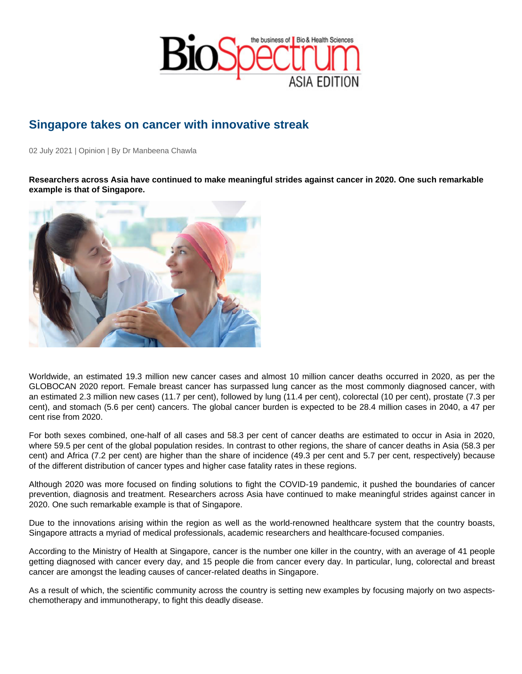## Singapore takes on cancer with innovative streak

02 July 2021 | Opinion | By Dr Manbeena Chawla

Researchers across Asia have continued to make meaningful strides against cancer in 2020. One such remarkable example is that of Singapore.

Worldwide, an estimated 19.3 million new cancer cases and almost 10 million cancer deaths occurred in 2020, as per the GLOBOCAN 2020 report. Female breast cancer has surpassed lung cancer as the most commonly diagnosed cancer, with an estimated 2.3 million new cases (11.7 per cent), followed by lung (11.4 per cent), colorectal (10 per cent), prostate (7.3 per cent), and stomach (5.6 per cent) cancers. The global cancer burden is expected to be 28.4 million cases in 2040, a 47 per cent rise from 2020.

For both sexes combined, one-half of all cases and 58.3 per cent of cancer deaths are estimated to occur in Asia in 2020, where 59.5 per cent of the global population resides. In contrast to other regions, the share of cancer deaths in Asia (58.3 per cent) and Africa (7.2 per cent) are higher than the share of incidence (49.3 per cent and 5.7 per cent, respectively) because of the different distribution of cancer types and higher case fatality rates in these regions.

Although 2020 was more focused on finding solutions to fight the COVID-19 pandemic, it pushed the boundaries of cancer prevention, diagnosis and treatment. Researchers across Asia have continued to make meaningful strides against cancer in 2020. One such remarkable example is that of Singapore.

Due to the innovations arising within the region as well as the world-renowned healthcare system that the country boasts, Singapore attracts a myriad of medical professionals, academic researchers and healthcare-focused companies.

According to the Ministry of Health at Singapore, cancer is the number one killer in the country, with an average of 41 people getting diagnosed with cancer every day, and 15 people die from cancer every day. In particular, lung, colorectal and breast cancer are amongst the leading causes of cancer-related deaths in Singapore.

As a result of which, the scientific community across the country is setting new examples by focusing majorly on two aspectschemotherapy and immunotherapy, to fight this deadly disease.